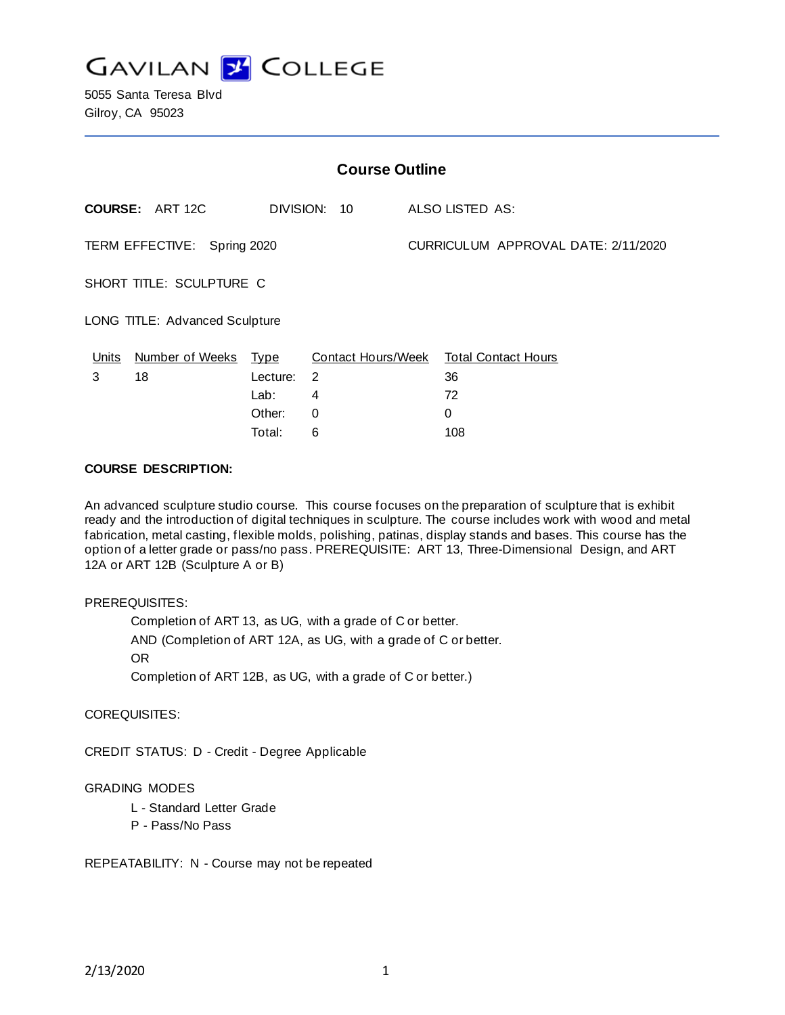

5055 Santa Teresa Blvd Gilroy, CA 95023

| <b>Course Outline</b>          |                        |             |                    |                                     |                            |
|--------------------------------|------------------------|-------------|--------------------|-------------------------------------|----------------------------|
|                                | <b>COURSE: ART 12C</b> |             | DIVISION: 10       |                                     | ALSO LISTED AS:            |
| TERM EFFECTIVE: Spring 2020    |                        |             |                    | CURRICULUM APPROVAL DATE: 2/11/2020 |                            |
| SHORT TITLE: SCULPTURE C       |                        |             |                    |                                     |                            |
| LONG TITLE: Advanced Sculpture |                        |             |                    |                                     |                            |
| <u>Units</u>                   | Number of Weeks        | <u>Type</u> | Contact Hours/Week |                                     | <b>Total Contact Hours</b> |
| 3                              | 18                     | Lecture:    | 2                  |                                     | 36                         |
|                                |                        | Lab:        | 4                  |                                     | 72                         |
|                                |                        | Other:      | 0                  |                                     | 0                          |
|                                |                        | Total:      | 6                  |                                     | 108                        |

### **COURSE DESCRIPTION:**

An advanced sculpture studio course. This course focuses on the preparation of sculpture that is exhibit ready and the introduction of digital techniques in sculpture. The course includes work with wood and metal fabrication, metal casting, flexible molds, polishing, patinas, display stands and bases. This course has the option of a letter grade or pass/no pass. PREREQUISITE: ART 13, Three-Dimensional Design, and ART 12A or ART 12B (Sculpture A or B)

#### PREREQUISITES:

Completion of ART 13, as UG, with a grade of C or better. AND (Completion of ART 12A, as UG, with a grade of C or better. OR Completion of ART 12B, as UG, with a grade of C or better.)

COREQUISITES:

CREDIT STATUS: D - Credit - Degree Applicable

#### GRADING MODES

- L Standard Letter Grade
- P Pass/No Pass

REPEATABILITY: N - Course may not be repeated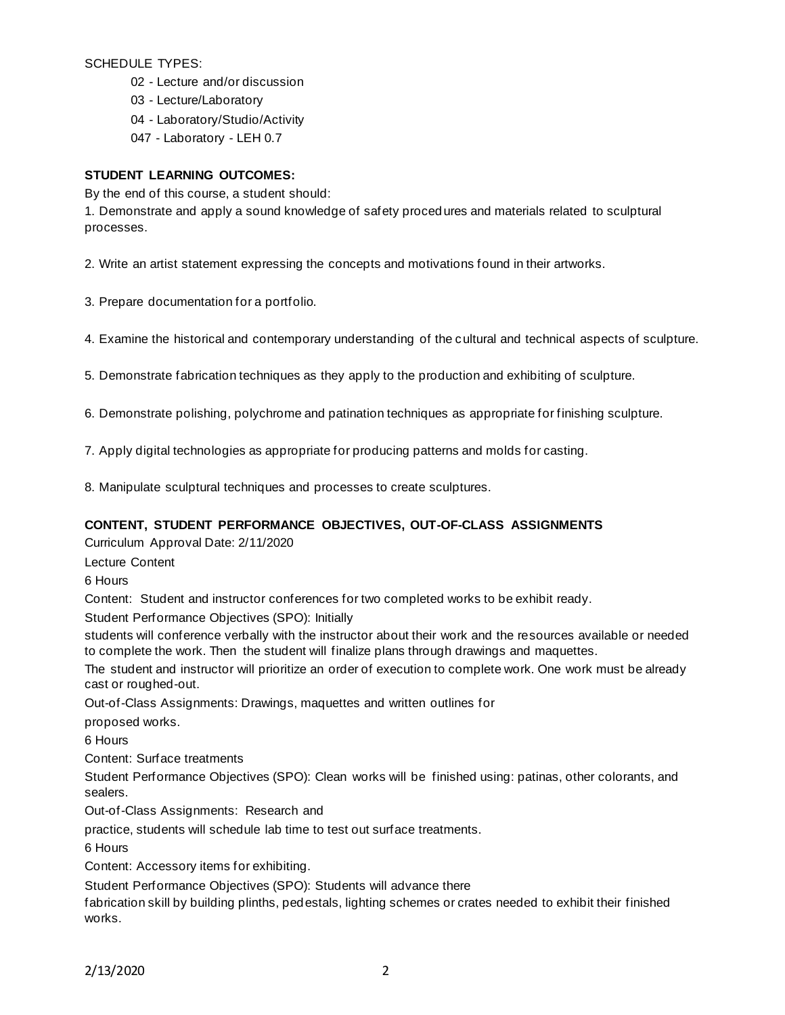SCHEDULE TYPES:

02 - Lecture and/or discussion

03 - Lecture/Laboratory

04 - Laboratory/Studio/Activity

047 - Laboratory - LEH 0.7

### **STUDENT LEARNING OUTCOMES:**

By the end of this course, a student should:

1. Demonstrate and apply a sound knowledge of safety proced ures and materials related to sculptural processes.

2. Write an artist statement expressing the concepts and motivations found in their artworks.

3. Prepare documentation for a portfolio.

4. Examine the historical and contemporary understanding of the cultural and technical aspects of sculpture.

5. Demonstrate fabrication techniques as they apply to the production and exhibiting of sculpture.

6. Demonstrate polishing, polychrome and patination techniques as appropriate for finishing sculpture.

7. Apply digital technologies as appropriate for producing patterns and molds for casting.

8. Manipulate sculptural techniques and processes to create sculptures.

## **CONTENT, STUDENT PERFORMANCE OBJECTIVES, OUT-OF-CLASS ASSIGNMENTS**

Curriculum Approval Date: 2/11/2020

Lecture Content

6 Hours

Content: Student and instructor conferences for two completed works to be exhibit ready.

Student Performance Objectives (SPO): Initially

students will conference verbally with the instructor about their work and the resources available or needed to complete the work. Then the student will finalize plans through drawings and maquettes.

The student and instructor will prioritize an order of execution to complete work. One work must be already cast or roughed-out.

Out-of-Class Assignments: Drawings, maquettes and written outlines for

proposed works.

6 Hours

Content: Surface treatments

Student Performance Objectives (SPO): Clean works will be finished using: patinas, other colorants, and sealers.

Out-of-Class Assignments: Research and

practice, students will schedule lab time to test out surface treatments.

6 Hours

Content: Accessory items for exhibiting.

Student Performance Objectives (SPO): Students will advance there

fabrication skill by building plinths, pedestals, lighting schemes or crates needed to exhibit their finished works.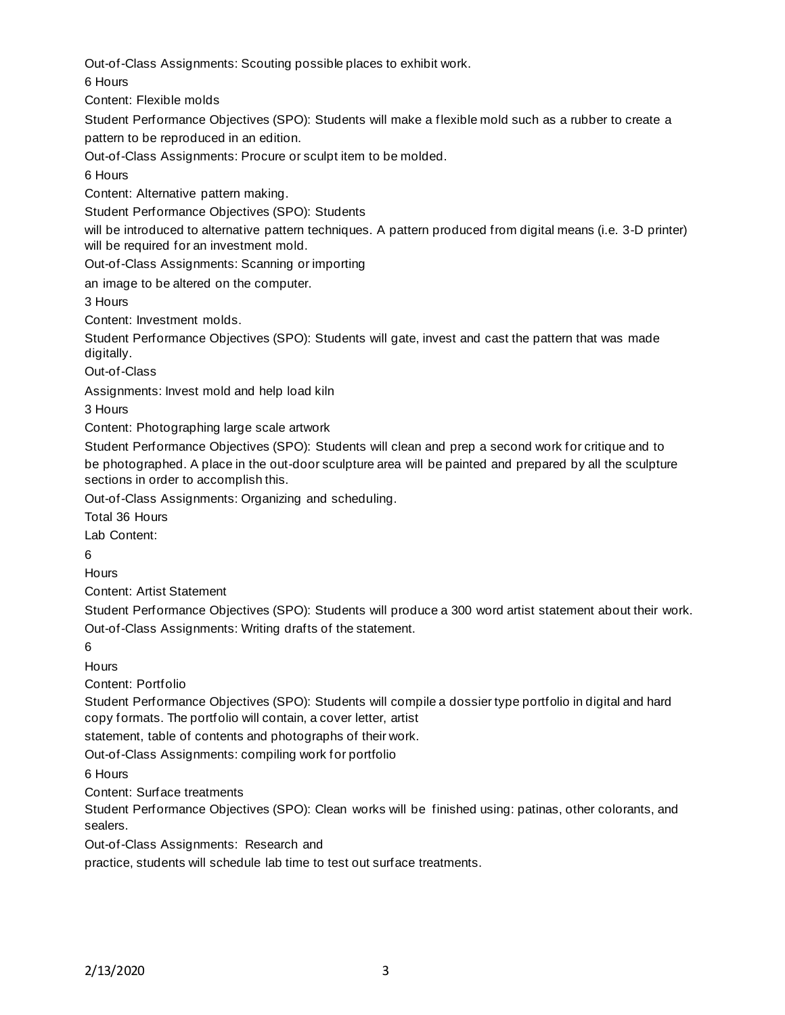Out-of-Class Assignments: Scouting possible places to exhibit work.

6 Hours

Content: Flexible molds

Student Performance Objectives (SPO): Students will make a flexible mold such as a rubber to create a pattern to be reproduced in an edition.

Out-of-Class Assignments: Procure or sculpt item to be molded.

6 Hours

Content: Alternative pattern making.

Student Performance Objectives (SPO): Students

will be introduced to alternative pattern techniques. A pattern produced from digital means (i.e. 3-D printer) will be required for an investment mold.

Out-of-Class Assignments: Scanning or importing

an image to be altered on the computer.

3 Hours

Content: Investment molds.

Student Performance Objectives (SPO): Students will gate, invest and cast the pattern that was made digitally.

Out-of-Class

Assignments: Invest mold and help load kiln

3 Hours

Content: Photographing large scale artwork

Student Performance Objectives (SPO): Students will clean and prep a second work for critique and to be photographed. A place in the out-door sculpture area will be painted and prepared by all the sculpture sections in order to accomplish this.

Out-of-Class Assignments: Organizing and scheduling.

Total 36 Hours

Lab Content:

6

**Hours** 

Content: Artist Statement

Student Performance Objectives (SPO): Students will produce a 300 word artist statement about their work. Out-of-Class Assignments: Writing drafts of the statement.

6

**Hours** 

Content: Portfolio

Student Performance Objectives (SPO): Students will compile a dossier type portfolio in digital and hard copy formats. The portfolio will contain, a cover letter, artist

statement, table of contents and photographs of their work.

Out-of-Class Assignments: compiling work for portfolio

6 Hours

Content: Surface treatments

Student Performance Objectives (SPO): Clean works will be finished using: patinas, other colorants, and sealers.

Out-of-Class Assignments: Research and

practice, students will schedule lab time to test out surface treatments.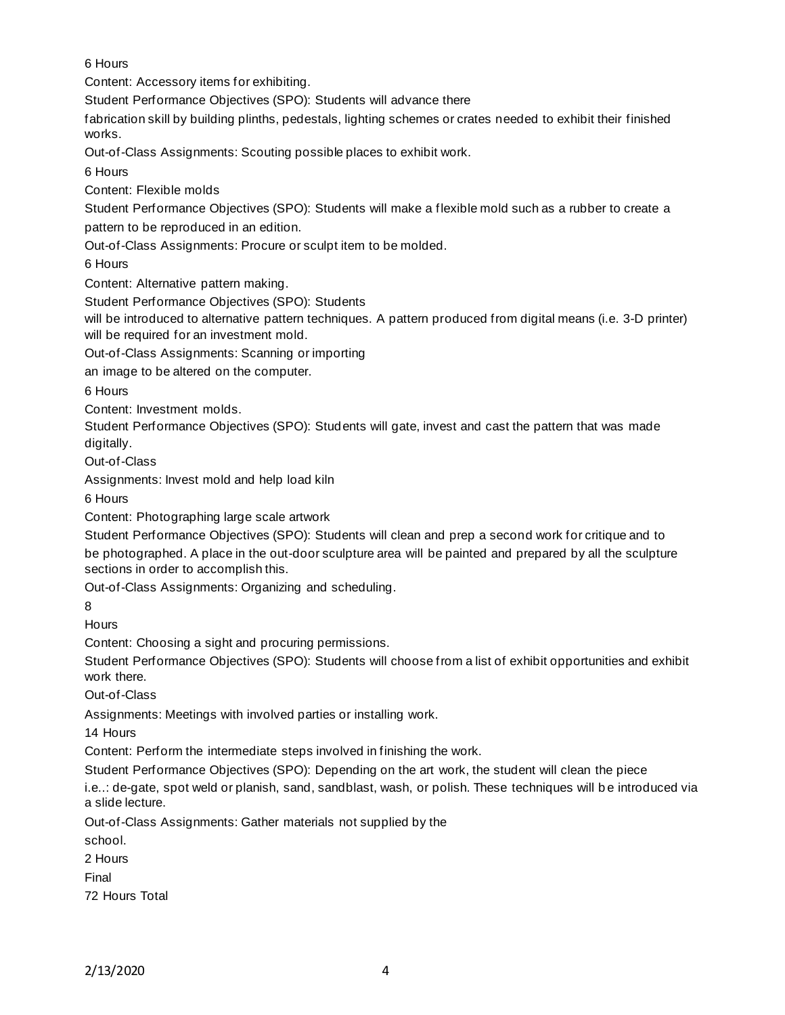6 Hours

Content: Accessory items for exhibiting.

Student Performance Objectives (SPO): Students will advance there

fabrication skill by building plinths, pedestals, lighting schemes or crates needed to exhibit their finished works.

Out-of-Class Assignments: Scouting possible places to exhibit work.

6 Hours

Content: Flexible molds

Student Performance Objectives (SPO): Students will make a flexible mold such as a rubber to create a pattern to be reproduced in an edition.

Out-of-Class Assignments: Procure or sculpt item to be molded.

6 Hours

Content: Alternative pattern making.

Student Performance Objectives (SPO): Students

will be introduced to alternative pattern techniques. A pattern produced from digital means (i.e. 3-D printer) will be required for an investment mold.

Out-of-Class Assignments: Scanning or importing

an image to be altered on the computer.

6 Hours

Content: Investment molds.

Student Performance Objectives (SPO): Students will gate, invest and cast the pattern that was made digitally.

Out-of-Class

Assignments: Invest mold and help load kiln

6 Hours

Content: Photographing large scale artwork

Student Performance Objectives (SPO): Students will clean and prep a second work for critique and to be photographed. A place in the out-door sculpture area will be painted and prepared by all the sculpture sections in order to accomplish this.

Out-of-Class Assignments: Organizing and scheduling.

8

**Hours** 

Content: Choosing a sight and procuring permissions.

Student Performance Objectives (SPO): Students will choose from a list of exhibit opportunities and exhibit work there.

Out-of-Class

Assignments: Meetings with involved parties or installing work.

14 Hours

Content: Perform the intermediate steps involved in finishing the work.

Student Performance Objectives (SPO): Depending on the art work, the student will clean the piece

i.e..: de-gate, spot weld or planish, sand, sandblast, wash, or polish. These techniques will be introduced via a slide lecture.

Out-of-Class Assignments: Gather materials not supplied by the

school.

2 Hours

Final

72 Hours Total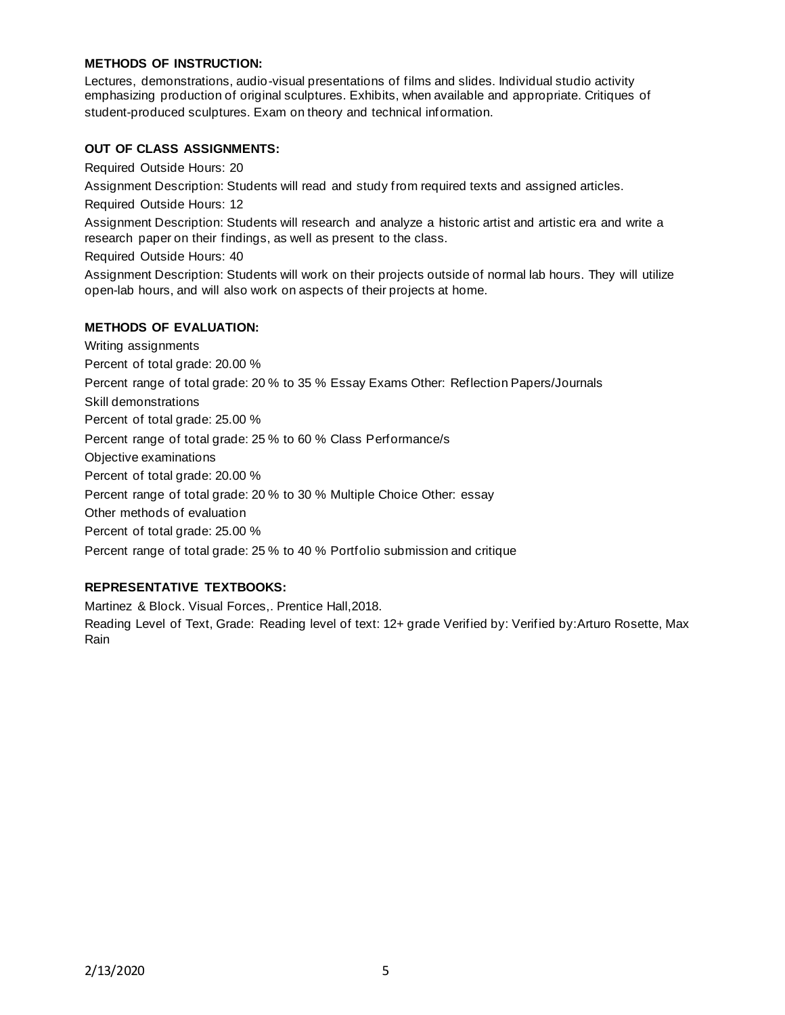#### **METHODS OF INSTRUCTION:**

Lectures, demonstrations, audio-visual presentations of films and slides. Individual studio activity emphasizing production of original sculptures. Exhibits, when available and appropriate. Critiques of student-produced sculptures. Exam on theory and technical information.

#### **OUT OF CLASS ASSIGNMENTS:**

Required Outside Hours: 20

Assignment Description: Students will read and study from required texts and assigned articles.

Required Outside Hours: 12

Assignment Description: Students will research and analyze a historic artist and artistic era and write a research paper on their findings, as well as present to the class.

Required Outside Hours: 40

Assignment Description: Students will work on their projects outside of normal lab hours. They will utilize open-lab hours, and will also work on aspects of their projects at home.

#### **METHODS OF EVALUATION:**

Writing assignments Percent of total grade: 20.00 % Percent range of total grade: 20 % to 35 % Essay Exams Other: Reflection Papers/Journals Skill demonstrations Percent of total grade: 25.00 % Percent range of total grade: 25 % to 60 % Class Performance/s Objective examinations Percent of total grade: 20.00 % Percent range of total grade: 20 % to 30 % Multiple Choice Other: essay Other methods of evaluation Percent of total grade: 25.00 % Percent range of total grade: 25 % to 40 % Portfolio submission and critique

## **REPRESENTATIVE TEXTBOOKS:**

Martinez & Block. Visual Forces,. Prentice Hall,2018.

Reading Level of Text, Grade: Reading level of text: 12+ grade Verified by: Verified by:Arturo Rosette, Max Rain